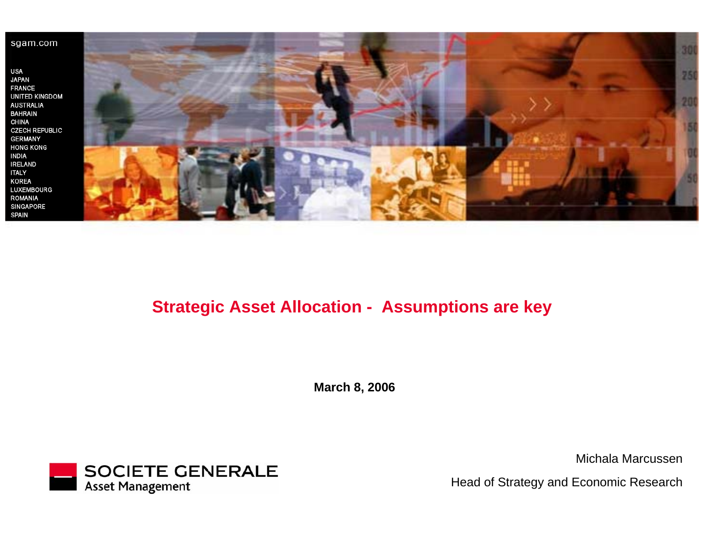**USA JAPAN FRANCE** UNITED KINGDOM **AUSTRALIA BAHRAIN CHINA CZECH REPUBLIC GERMANY HONG KONG INDIA IRELAND ITALY KOREA** LUXEMBOURG ROMANIA SINGAPORE **SPAIN** 



# **Strategic Asset Allocation - Assumptions are key**

**March 8, 2006**



Michala Marcussen

Head of Strategy and Economic Research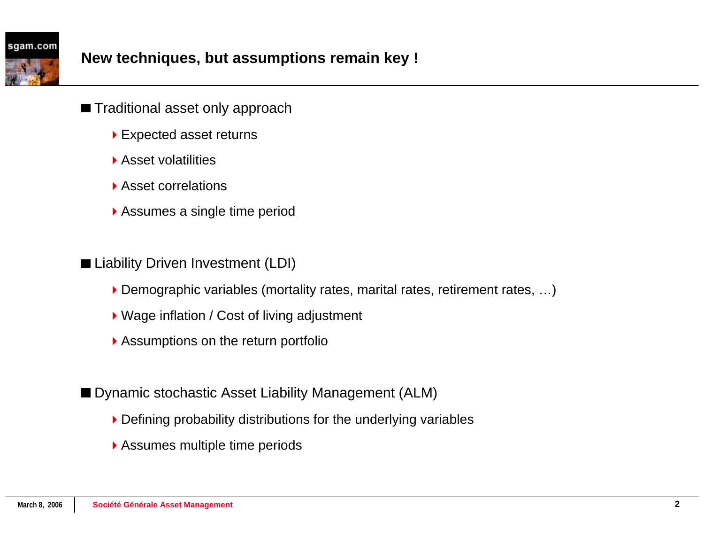- Traditional asset only approach
	- ▶ Expected asset returns
	- ▶ Asset volatilities
	- ▶ Asset correlations
	- Assumes a single time period
- Liability Driven Investment (LDI)
	- ▶ Demographic variables (mortality rates, marital rates, retirement rates, ...)
	- ▶ Wage inflation / Cost of living adjustment
	- Assumptions on the return portfolio

■ Dynamic stochastic Asset Liability Management (ALM)

- Defining probability distributions for the underlying variables
- Assumes multiple time periods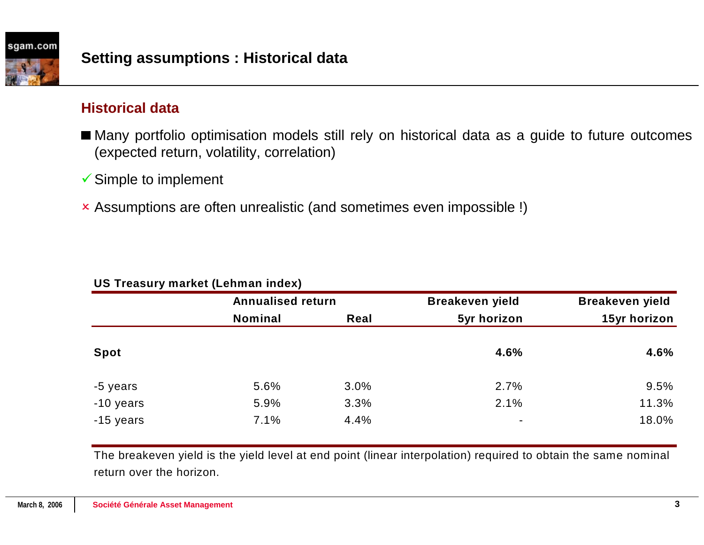## **Historical data**

- Many portfolio optimisation models still rely on historical data as a guide to future outcomes (expected return, volatility, correlation)
- $\checkmark$  Simple to implement
- 2 Assumptions are often unrealistic (and sometimes even impossible !)

| <b>UU</b> TIGASUI JIIIGINGI LEGIIIIIGII IIIUGAJ |                          |      |                        |                        |  |  |  |  |  |  |
|-------------------------------------------------|--------------------------|------|------------------------|------------------------|--|--|--|--|--|--|
|                                                 | <b>Annualised return</b> |      | <b>Breakeven yield</b> | <b>Breakeven yield</b> |  |  |  |  |  |  |
|                                                 | <b>Nominal</b>           | Real | 5yr horizon            | 15yr horizon           |  |  |  |  |  |  |
| <b>Spot</b>                                     |                          |      | 4.6%                   | 4.6%                   |  |  |  |  |  |  |
| -5 years                                        | 5.6%                     | 3.0% | 2.7%                   | 9.5%                   |  |  |  |  |  |  |
| -10 years                                       | 5.9%                     | 3.3% | 2.1%                   | 11.3%                  |  |  |  |  |  |  |
| -15 years                                       | 7.1%                     | 4.4% | ۰                      | 18.0%                  |  |  |  |  |  |  |

### **US Treasury market (Lehman index)**

The breakeven yield is the yield level at end point (linear interpolation) required to obtain the same nominal return over the horizon.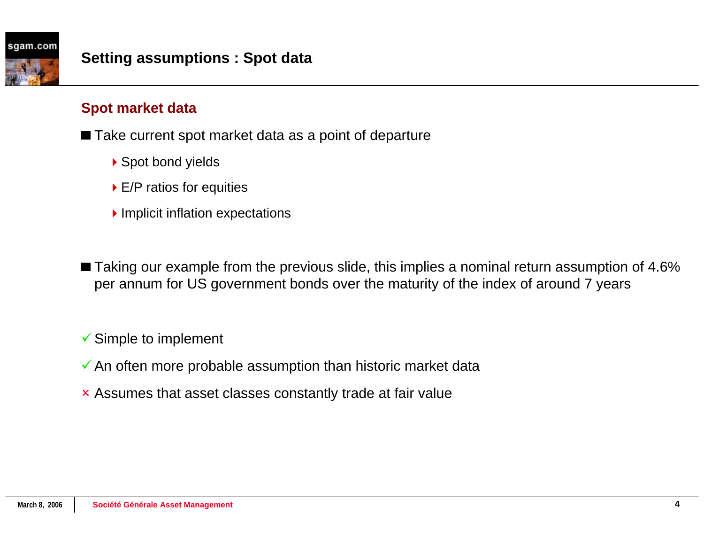# **Spot market data**

■ Take current spot market data as a point of departure

- ▶ Spot bond yields
- ▶ E/P ratios for equities
- Implicit inflation expectations

■ Taking our example from the previous slide, this implies a nominal return assumption of 4.6% per annum for US government bonds over the maturity of the index of around 7 years

 $\checkmark$  Simple to implement

- $\checkmark$  An often more probable assumption than historic market data
- **x** Assumes that asset classes constantly trade at fair value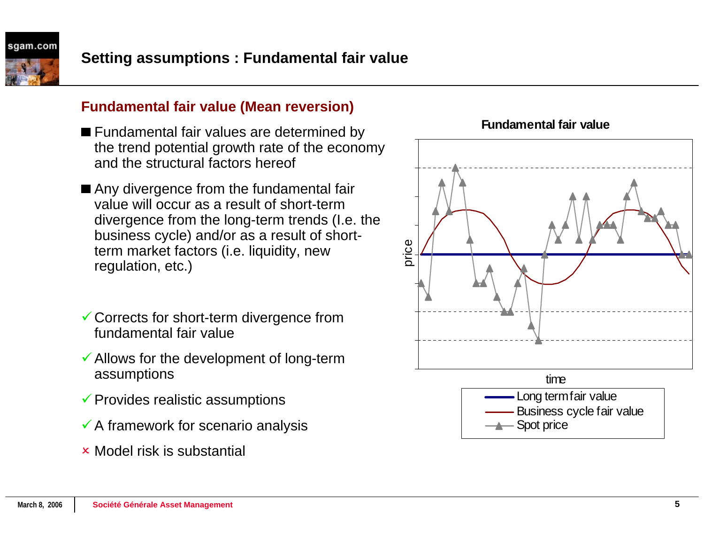

- Fundamental fair values are determined by the trend potential growth rate of the economy and the structural factors hereof
- Any divergence from the fundamental fair value will occur as a result of short-term divergence from the long-term trends (I.e. the business cycle) and/or as a result of shortterm market factors (i.e. liquidity, new regulation, etc.)
- $\checkmark$  Corrects for short-term divergence from fundamental fair value
- $\checkmark$  Allows for the development of long-term assumptions
- $\checkmark$  Provides realistic assumptions
- $\checkmark$  A framework for scenario analysis
- **× Model risk is substantial**



**Fundamental fair value**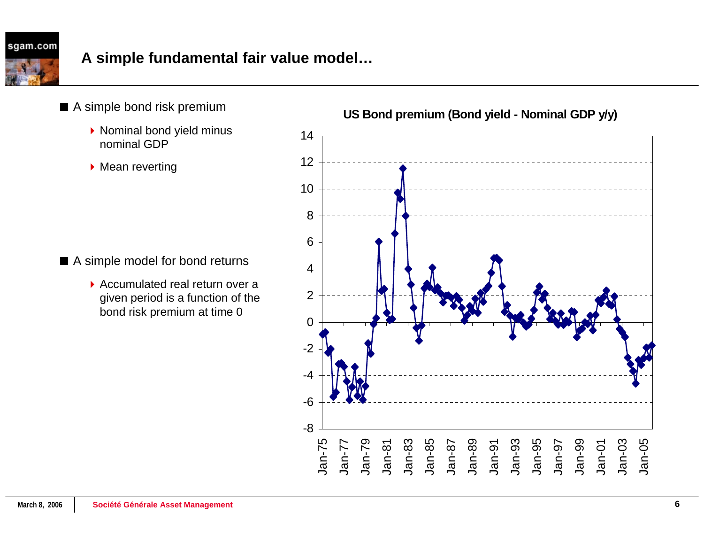

- ▶ Nominal bond yield minus nominal GDP
- **Mean reverting**

■ A simple model for bond returns

▶ Accumulated real return over a given period is a function of the bond risk premium at time 0



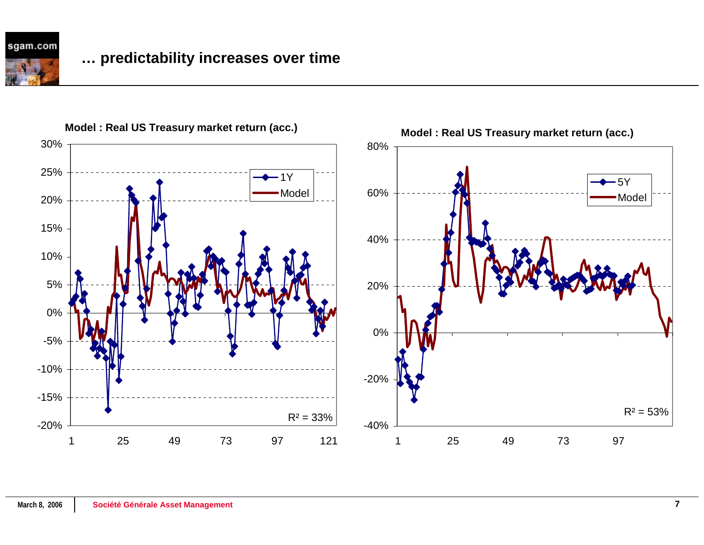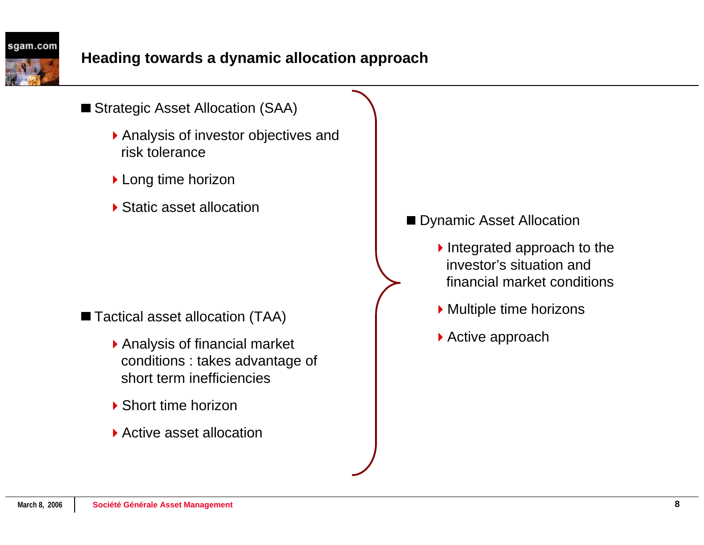- Strategic Asset Allocation (SAA)
	- Analysis of investor objectives and risk tolerance
	- ▶ Long time horizon
	- ▶ Static asset allocation

■ Tactical asset allocation (TAA)

- Analysis of financial market conditions : takes advantage of short term inefficiencies
- ▶ Short time horizon
- ▶ Active asset allocation

# Dynamic Asset Allocation

- $\blacktriangleright$  Integrated approach to the investor's situation and financial market conditions
- ▶ Multiple time horizons
- ▶ Active approach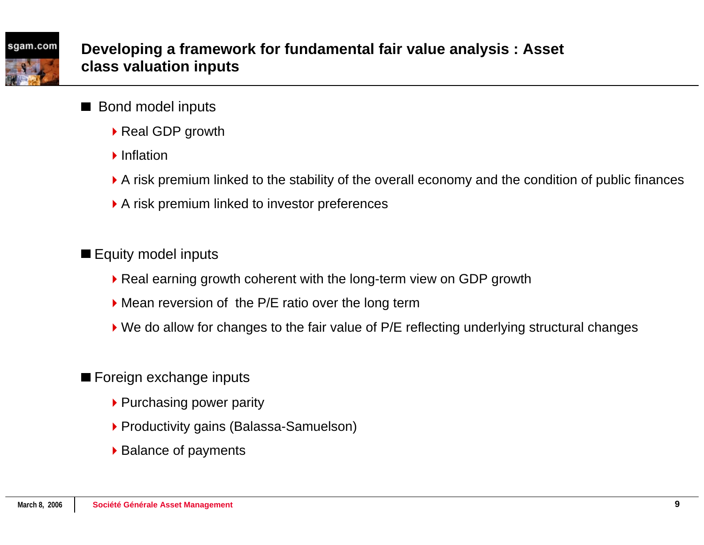

- Bond model inputs
	- ▶ Real GDP growth
	- **Inflation**
	- A risk premium linked to the stability of the overall economy and the condition of public finances
	- A risk premium linked to investor preferences

# Equity model inputs

- ▶ Real earning growth coherent with the long-term view on GDP growth
- Mean reversion of the P/E ratio over the long term
- ▶ We do allow for changes to the fair value of P/E reflecting underlying structural changes

# ■ Foreign exchange inputs

- ▶ Purchasing power parity
- ▶ Productivity gains (Balassa-Samuelson)
- ▶ Balance of payments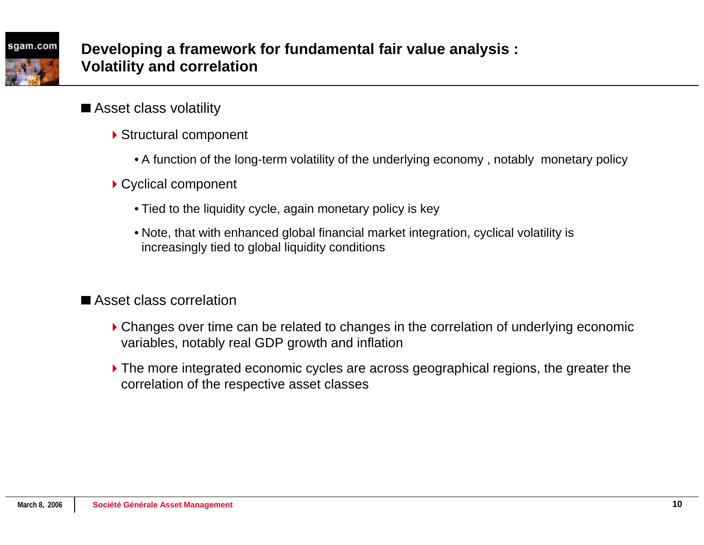- Asset class volatility
	- ▶ Structural component
		- A function of the long-term volatility of the underlying economy , notably monetary policy
	- ▶ Cyclical component
		- Tied to the liquidity cycle, again monetary policy is key
		- Note, that with enhanced global financial market integration, cyclical volatility is increasingly tied to global liquidity conditions

Asset class correlation

- Changes over time can be related to changes in the correlation of underlying economic variables, notably real GDP growth and inflation
- The more integrated economic cycles are across geographical regions, the greater the correlation of the respective asset classes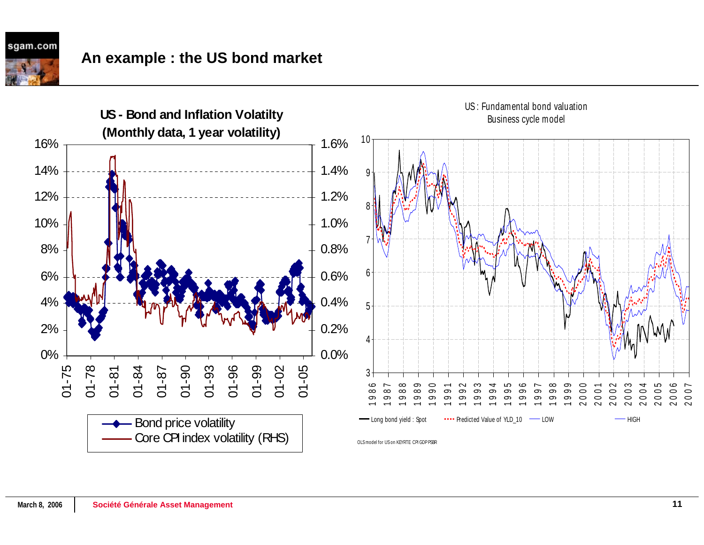# **An example : the US bond market**

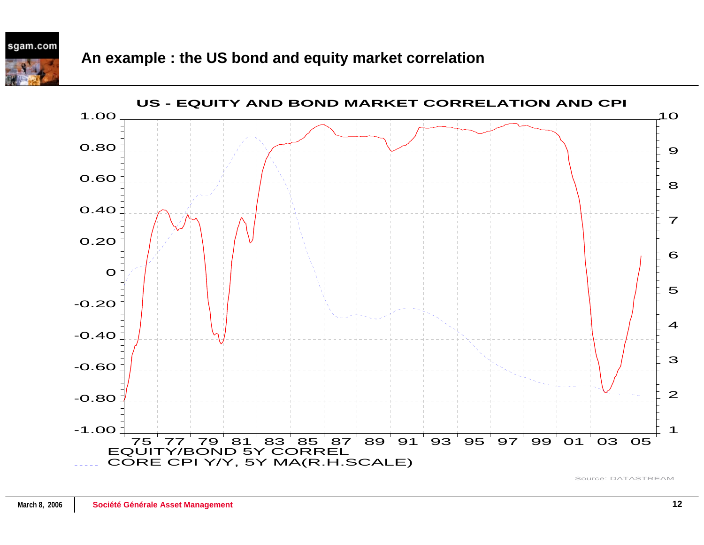



Source: DATASTREAM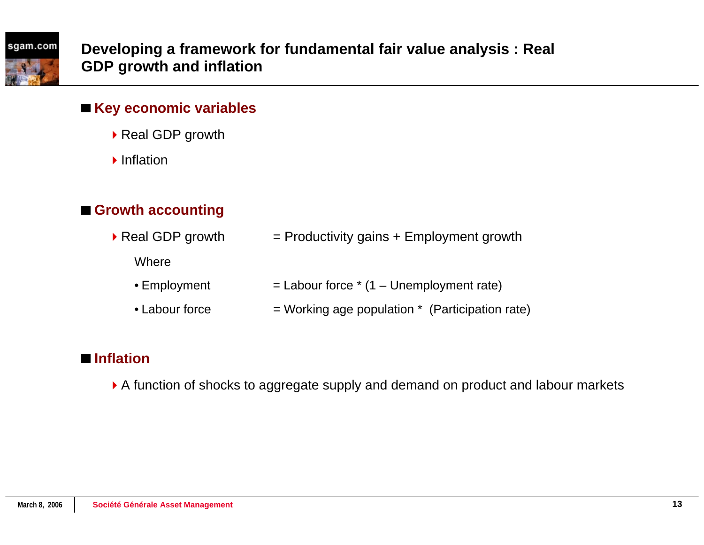## **Key economic variables**

- ▶ Real GDP growth
- **Inflation**

# **Growth accounting**

- Real GDP growth  $=$  Productivity gains + Employment growth
	- **Where**
	- Employment  $=$  Labour force  $*$  (1 – Unemployment rate)
	- Labour force $=$  Working age population  $*$  (Participation rate)

# **Inflation**

A function of shocks to aggregate supply and demand on product and labour markets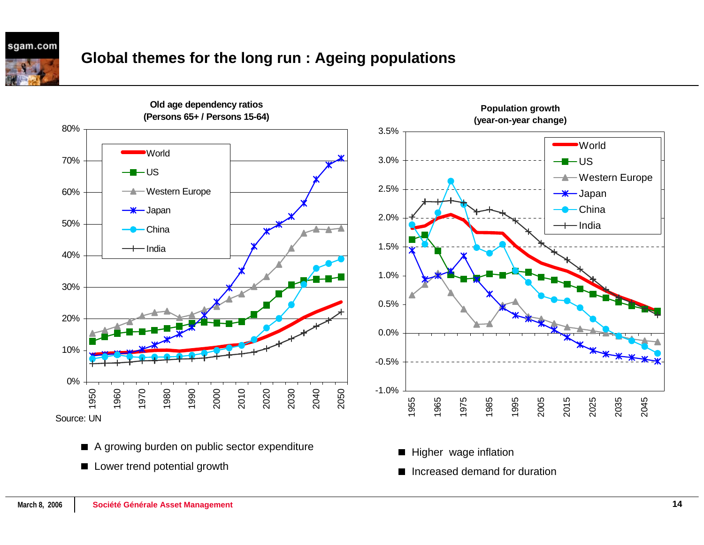sgam.com

# **Global themes for the long run : Ageing populations**



- A growing burden on public sector expenditure
- **Lower trend potential growth**

■ Increased demand for duration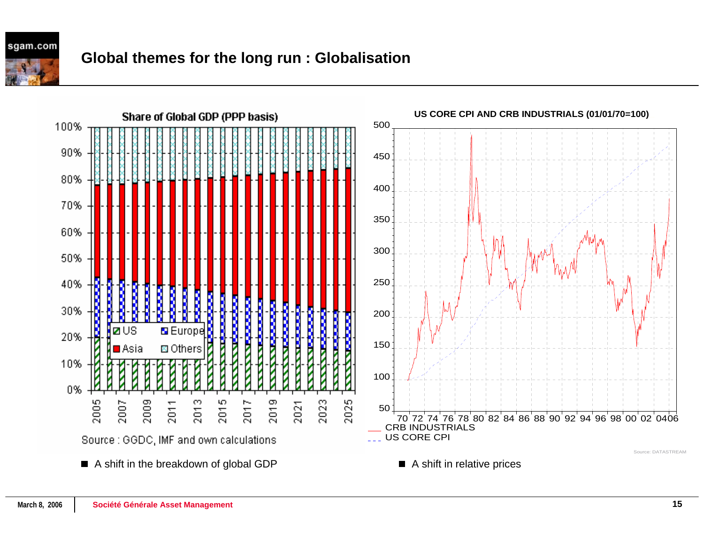

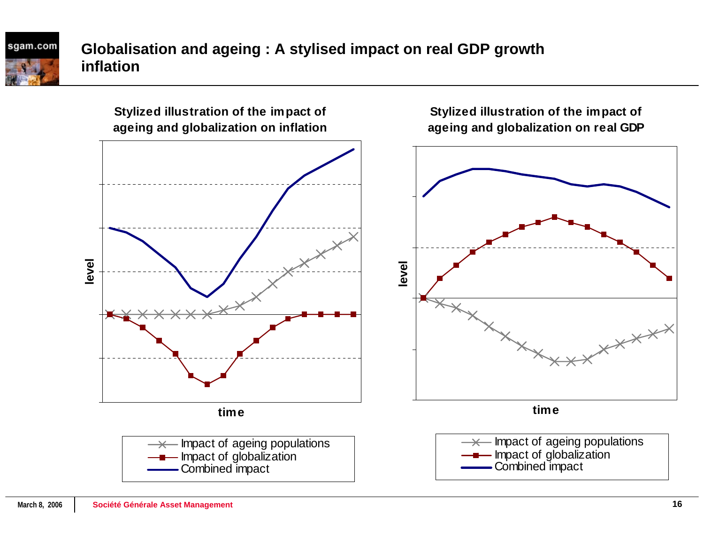# **Globalisation and ageing : A stylised impact on real GDP growth inflation**

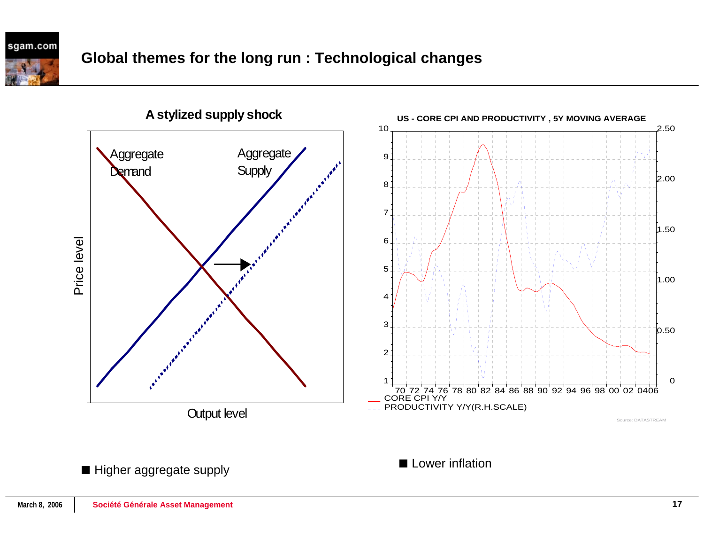

**A stylized supply shock**

**Lower inflation** 

Higher aggregate supply

 $\Omega$ 

Source: DATASTREAM

0.50

1.00

1.50

2.00

2.50

 $\mathbf{r}$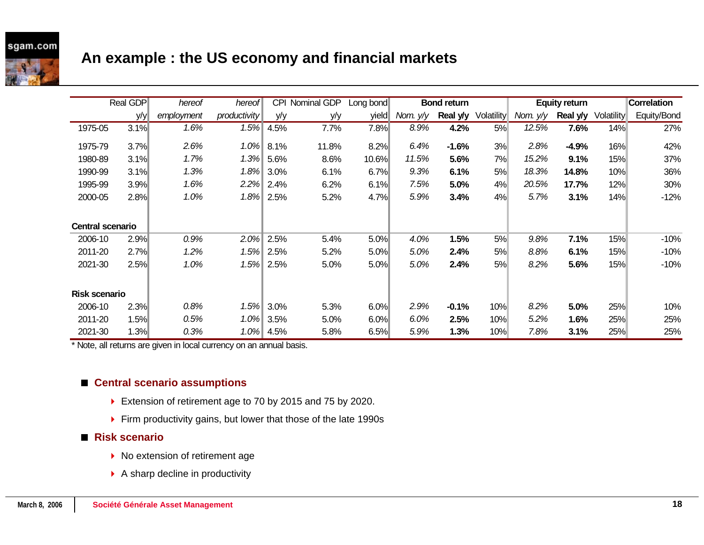# **An example : the US economy and financial markets**

|                         | Real GDP | hereof     | hereof       | <b>CPI</b> | Nominal GDP | Long bond | <b>Bond return</b> |          | <b>Equity return</b> |          | Correlation |                   |             |
|-------------------------|----------|------------|--------------|------------|-------------|-----------|--------------------|----------|----------------------|----------|-------------|-------------------|-------------|
|                         | y/y      | employment | productivity | y/y        | y/y         | yield     | Nom. $y/y$         | Real y/y | Volatility           | Nom. y/y | Real y/y    | <b>Volatility</b> | Equity/Bond |
| 1975-05                 | 3.1%     | 1.6%       | 1.5%         | 4.5%       | 7.7%        | 7.8%      | 8.9%               | 4.2%     | 5%                   | 12.5%    | 7.6%        | 14%               | 27%         |
| 1975-79                 | 3.7%     | 2.6%       | $1.0\%$      | 8.1%       | 11.8%       | 8.2%      | 6.4%               | $-1.6%$  | 3%                   | 2.8%     | $-4.9%$     | 16%               | 42%         |
| 1980-89                 | 3.1%     | 1.7%       | 1.3%         | 5.6%       | 8.6%        | 10.6%     | 11.5%              | 5.6%     | 7%                   | 15.2%    | 9.1%        | 15%               | 37%         |
| 1990-99                 | 3.1%     | 1.3%       | 1.8%         | 3.0%       | 6.1%        | 6.7%      | 9.3%               | 6.1%     | 5%                   | 18.3%    | 14.8%       | 10%               | 36%         |
| 1995-99                 | 3.9%     | 1.6%       | $2.2\%$      | 2.4%       | 6.2%        | 6.1%      | 7.5%               | 5.0%     | 4%                   | 20.5%    | 17.7%       | 12%               | 30%         |
| 2000-05                 | 2.8%     | 1.0%       | $1.8\%$      | 2.5%       | 5.2%        | 4.7%      | 5.9%               | 3.4%     | 4%                   | 5.7%     | 3.1%        | 14%               | $-12%$      |
|                         |          |            |              |            |             |           |                    |          |                      |          |             |                   |             |
| <b>Central scenario</b> |          |            |              |            |             |           |                    |          |                      |          |             |                   |             |
| 2006-10                 | 2.9%     | 0.9%       | 2.0%         | 2.5%       | 5.4%        | 5.0%      | 4.0%               | 1.5%     | 5%                   | 9.8%     | 7.1%        | 15%               | $-10%$      |
| 2011-20                 | 2.7%     | 1.2%       | 1.5%         | 2.5%       | 5.2%        | 5.0%      | 5.0%               | 2.4%     | 5%                   | 8.8%     | 6.1%        | 15%               | $-10%$      |
| 2021-30                 | 2.5%     | 1.0%       | 1.5%         | 2.5%       | 5.0%        | 5.0%      | 5.0%               | 2.4%     | 5%                   | 8.2%     | 5.6%        | 15%               | $-10%$      |
|                         |          |            |              |            |             |           |                    |          |                      |          |             |                   |             |
| <b>Risk scenario</b>    |          |            |              |            |             |           |                    |          |                      |          |             |                   |             |
| 2006-10                 | 2.3%     | 0.8%       | 1.5%         | 3.0%       | 5.3%        | 6.0%      | 2.9%               | $-0.1%$  | 10%                  | 8.2%     | 5.0%        | 25%               | 10%         |
| 2011-20                 | 1.5%     | 0.5%       | $1.0\%$      | 3.5%       | 5.0%        | 6.0%      | 6.0%               | 2.5%     | 10%                  | 5.2%     | 1.6%        | 25%               | 25%         |
| 2021-30                 | 1.3%     | 0.3%       | $1.0\%$      | 4.5%       | 5.8%        | 6.5%      | 5.9%               | 1.3%     | 10%                  | 7.8%     | 3.1%        | 25%               | 25%         |

\* Note, all returns are given in local currency on an annual basis.

### ■ Central scenario assumptions

- ▶ Extension of retirement age to 70 by 2015 and 75 by 2020.
- ▶ Firm productivity gains, but lower that those of the late 1990s

#### **Risk scenario**

- ▶ No extension of retirement age
- ▶ A sharp decline in productivity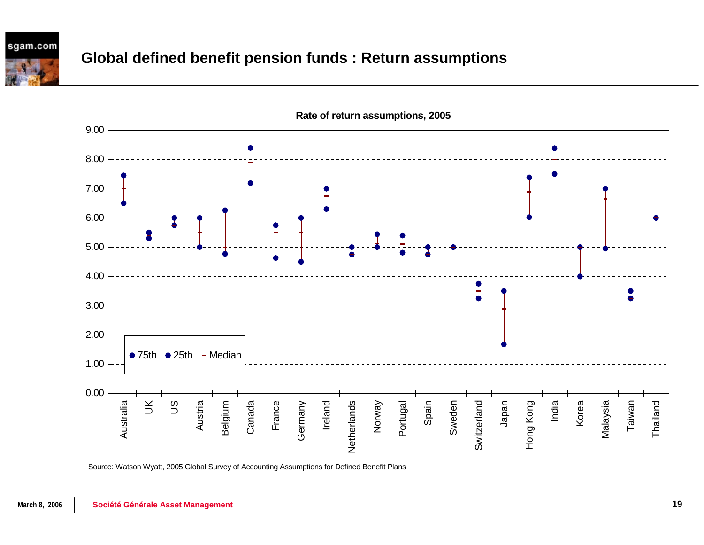

# **Global defined benefit pension funds : Return assumptions**



**Rate of return assumptions, 2005**

Source: Watson Wyatt, 2005 Global Survey of Accounting Assumptions for Defined Benefit Plans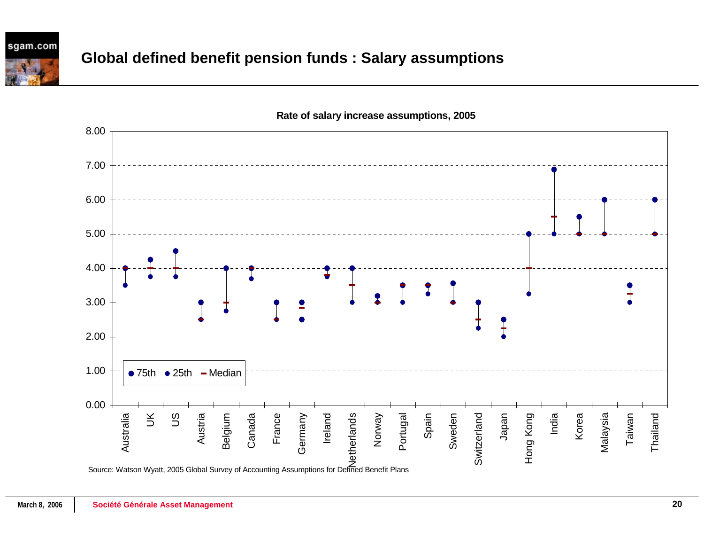

# **Global defined benefit pension funds : Salary assumptions**

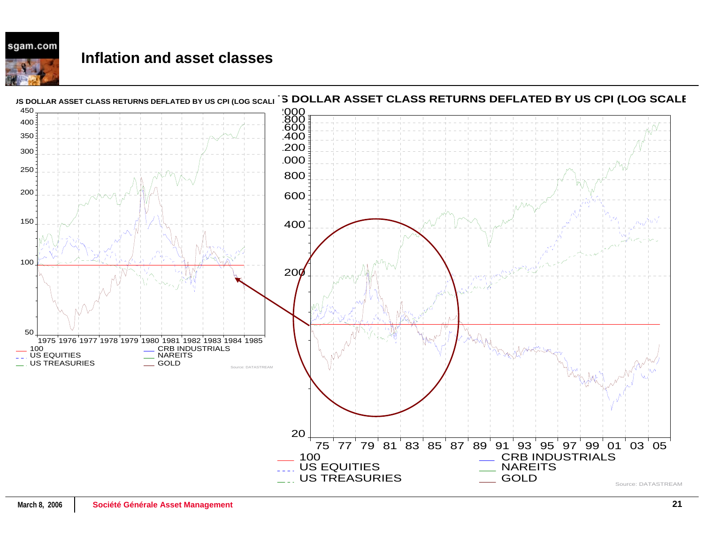### **Inflation and asset classes**